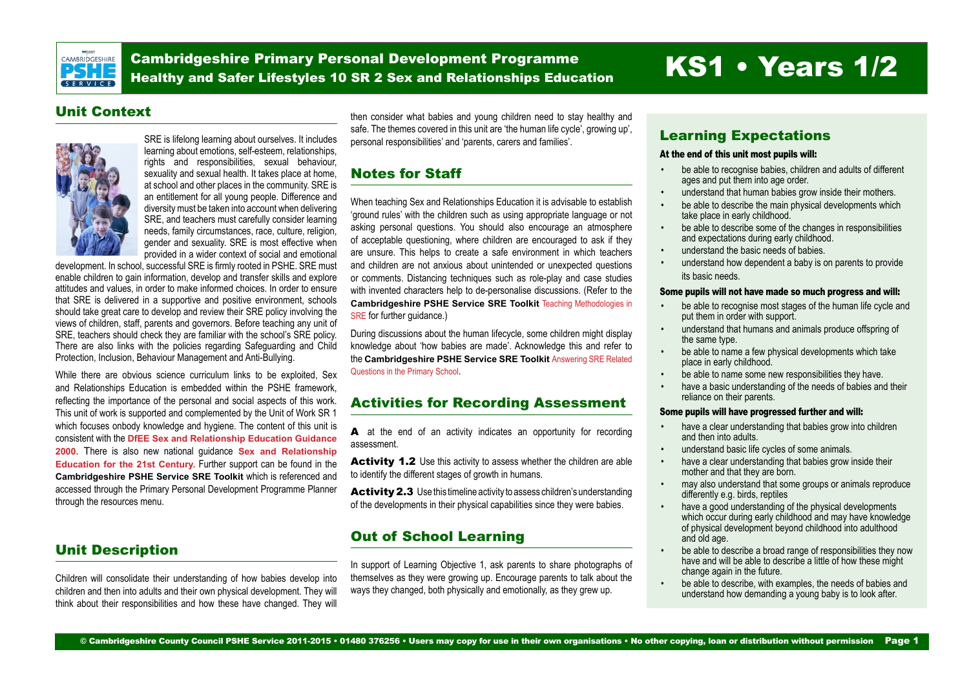

Cambridgeshire Primary Personal Development Programme Cambridgeshire Primary Personal Development Programme<br>Healthy and Safer Lifestyles 10 SR 2 Sex and Relationships Education KS1 • Years 1/2

## Unit Context



SRE is lifelong learning about ourselves. It includes learning about emotions, self-esteem, relationships, rights and responsibilities, sexual behaviour, sexuality and sexual health. It takes place at home, at school and other places in the community. SRE is an entitlement for all young people. Difference and diversity must be taken into account when delivering SRE, and teachers must carefully consider learning needs, family circumstances, race, culture, religion, gender and sexuality. SRE is most effective when provided in a wider context of social and emotional

development. In school, successful SRE is firmly rooted in PSHE. SRE must enable children to gain information, develop and transfer skills and explore attitudes and values, in order to make informed choices. In order to ensure that SRE is delivered in a supportive and positive environment, schools should take great care to develop and review their SRE policy involving the views of children, staff, parents and governors. Before teaching any unit of SRE, teachers should check they are familiar with the school's SRE policy. There are also links with the policies regarding Safeguarding and Child Protection, Inclusion, Behaviour Management and Anti-Bullying.

While there are obvious science curriculum links to be exploited, Sex and Relationships Education is embedded within the PSHE framework, reflecting the importance of the personal and social aspects of this work. This unit of work is supported and complemented by the Unit of Work SR 1 which focuses onbody knowledge and hygiene. The content of this unit is consistent with the **[DfEE Sex and Relationship Education Guidance](https://drive.google.com/open%3Fid%3D0B8aya-vDwpehcUcyRlVfQkFJcEU)  [2000.](https://drive.google.com/open%3Fid%3D0B8aya-vDwpehcUcyRlVfQkFJcEU)** There is also new national guidance **[Sex and Relationship](https://drive.google.com/open%3Fid%3D0B8aya-vDwpehUGMwRzgwMFpGTU0)  [Education for the 21st Century.](https://drive.google.com/open%3Fid%3D0B8aya-vDwpehUGMwRzgwMFpGTU0)** Further support can be found in the **Cambridgeshire PSHE Service SRE Toolkit** which is referenced and accessed through the Primary Personal Development Programme Planner through the resources menu.

### Unit Description

Children will consolidate their understanding of how babies develop into children and then into adults and their own physical development. They will think about their responsibilities and how these have changed. They will

then consider what babies and young children need to stay healthy and safe. The themes covered in this unit are 'the human life cycle', growing up', personal responsibilities' and 'parents, carers and families'.

## Notes for Staff

When teaching Sex and Relationships Education it is advisable to establish 'ground rules' with the children such as using appropriate language or not asking personal questions. You should also encourage an atmosphere of acceptable questioning, where children are encouraged to ask if they are unsure. This helps to create a safe environment in which teachers and children are not anxious about unintended or unexpected questions or comments. Distancing techniques such as role-play and case studies with invented characters help to de-personalise discussions. (Refer to the **Cambridgeshire PSHE Service SRE Toolkit** [Teaching Methodologies in](https://drive.google.com/open%3Fid%3D0B8aya-vDwpehSmVmQ3llR2Q0Nzg) [SRE](https://drive.google.com/open%3Fid%3D0B8aya-vDwpehSmVmQ3llR2Q0Nzg) for further quidance.)

During discussions about the human lifecycle, some children might display knowledge about 'how babies are made'. Acknowledge this and refer to the **Cambridgeshire PSHE Service SRE Toolkit** [Answering SRE Related](https://drive.google.com/open%3Fid%3D0B8aya-vDwpehNEY4RnhCSUg4T0U) [Questions in the Primary School](https://drive.google.com/open%3Fid%3D0B8aya-vDwpehNEY4RnhCSUg4T0U).

## Activities for Recording Assessment

A at the end of an activity indicates an opportunity for recording assessment.

Activity 1.2 Use this activity to assess whether the children are able to identify the different stages of growth in humans.

Activity 2.3 Use this timeline activity to assess children's understanding of the developments in their physical capabilities since they were babies.

## Out of School Learning

In support of Learning Objective 1, ask parents to share photographs of themselves as they were growing up. Encourage parents to talk about the ways they changed, both physically and emotionally, as they grew up.

## Learning Expectations

#### At the end of this unit most pupils will:

- be able to recognise babies, children and adults of different ages and put them into age order.
- understand that human babies grow inside their mothers.
- be able to describe the main physical developments which take place in early childhood.
- be able to describe some of the changes in responsibilities and expectations during early childhood.
- understand the basic needs of babies.
- understand how dependent a baby is on parents to provide its basic needs.

#### Some pupils will not have made so much progress and will:

- be able to recognise most stages of the human life cycle and put them in order with support.
- understand that humans and animals produce offspring of the same type.
- be able to name a few physical developments which take place in early childhood.
- be able to name some new responsibilities they have.
- have a basic understanding of the needs of babies and their reliance on their parents.

#### Some pupils will have progressed further and will:

- have a clear understanding that babies grow into children and then into adults.
- understand basic life cycles of some animals.
- have a clear understanding that babies grow inside their mother and that they are born.
- may also understand that some groups or animals reproduce differently e.g. birds, reptiles
- have a good understanding of the physical developments which occur during early childhood and may have knowledge of physical development beyond childhood into adulthood and old age.
- be able to describe a broad range of responsibilities they now have and will be able to describe a little of how these might change again in the future.
- be able to describe, with examples, the needs of babies and understand how demanding a young baby is to look after.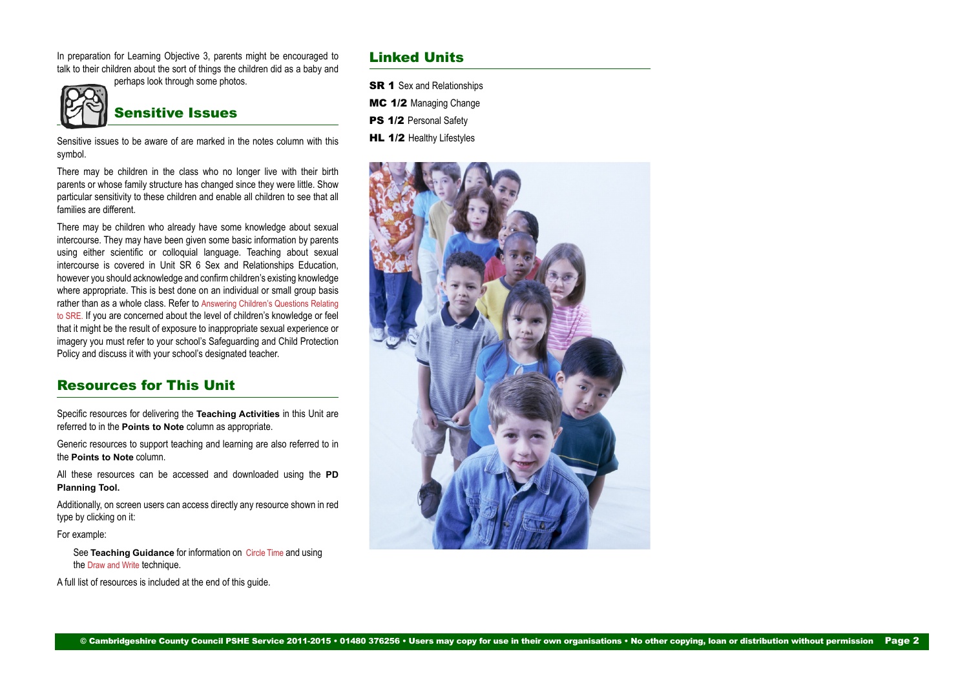In preparation for Learning Objective 3, parents might be encouraged to talk to their children about the sort of things the children did as a baby and perhaps look through some photos.



Sensitive Issues

Sensitive issues to be aware of are marked in the notes column with this symbol.

There may be children in the class who no longer live with their birth parents or whose family structure has changed since they were little. Show particular sensitivity to these children and enable all children to see that all families are different.

There may be children who already have some knowledge about sexual intercourse. They may have been given some basic information by parents using either scientific or colloquial language. Teaching about sexual intercourse is covered in Unit SR 6 Sex and Relationships Education, however you should acknowledge and confirm children's existing knowledge where appropriate. This is best done on an individual or small group basis rather than as a whole class. Refer to [Answering Children's Questions Relating](https://drive.google.com/open%3Fid%3D0B8aya-vDwpehNEY4RnhCSUg4T0U) [to SRE](https://drive.google.com/open%3Fid%3D0B8aya-vDwpehNEY4RnhCSUg4T0U). If you are concerned about the level of children's knowledge or feel that it might be the result of exposure to inappropriate sexual experience or imagery you must refer to your school's Safeguarding and Child Protection Policy and discuss it with your school's designated teacher.

## Resources for This Unit

Specific resources for delivering the **Teaching Activities** in this Unit are referred to in the **Points to Note** column as appropriate.

Generic resources to support teaching and learning are also referred to in the **Points to Note** column.

All these resources can be accessed and downloaded using the **PD Planning Tool.**

Additionally, on screen users can access directly any resource shown in red type by clicking on it:

For example:

See **Teaching Guidance** for information on Circle Time and using the Draw and Write technique.

A full list of resources is included at the end of this guide.

## Linked Units

**SR 1** Sex and Relationships MC 1/2 Managing Change PS 1/2 Personal Safety

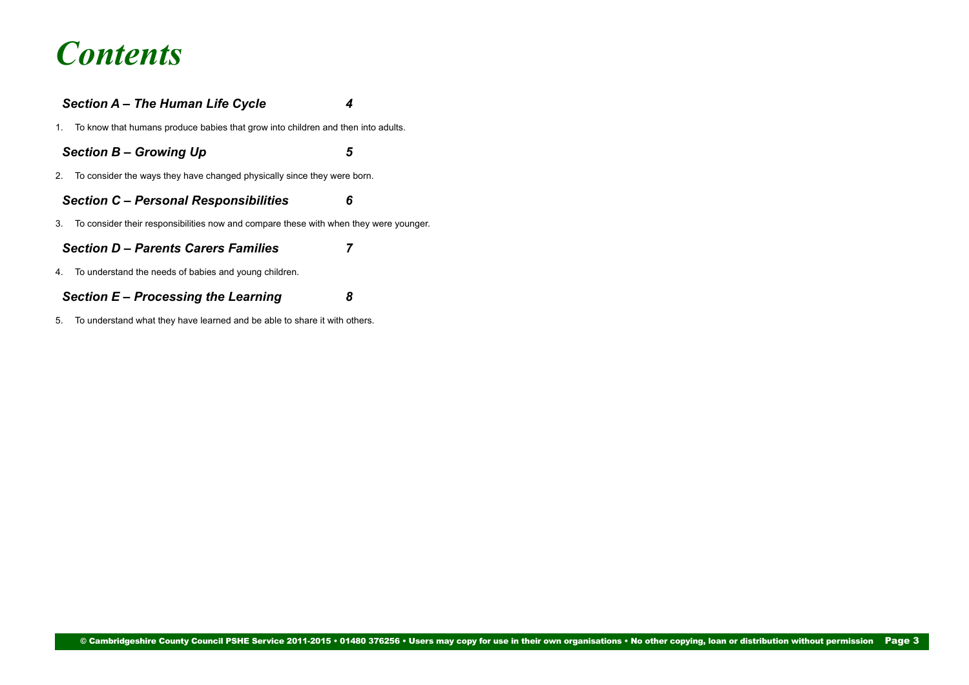# *Contents*

|    | Section A – The Human Life Cycle                                                      |   |
|----|---------------------------------------------------------------------------------------|---|
|    | 1. To know that humans produce babies that grow into children and then into adults.   |   |
|    | <b>Section B – Growing Up</b>                                                         | 5 |
| 2. | To consider the ways they have changed physically since they were born.               |   |
|    | <b>Section C - Personal Responsibilities</b>                                          | 6 |
| 3. | To consider their responsibilities now and compare these with when they were younger. |   |
|    | <b>Section D – Parents Carers Families</b>                                            |   |
| 4. | To understand the needs of babies and young children.                                 |   |
|    | Section E - Processing the Learning                                                   | 8 |

[5. To understand what they have learned and be able to share it with others.](#page-7-0)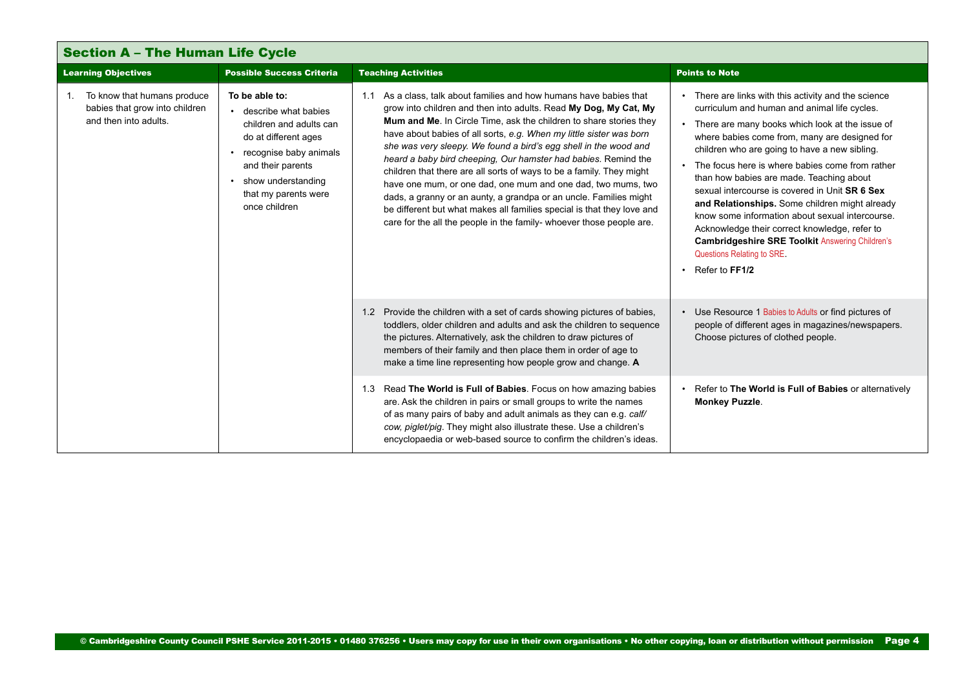<span id="page-3-0"></span>

| <b>Section A - The Human Life Cycle</b>                                                               |                                                                                                                                                                                                           |                                                                                                                                                                                                                                                                                                                                                                                                                                                                                                                                                                                                                                                                                                                                                                                           |                                                                                                                                                                                                                                                                                                                                                                                                                                                                                                                                                                                                                                                                                |
|-------------------------------------------------------------------------------------------------------|-----------------------------------------------------------------------------------------------------------------------------------------------------------------------------------------------------------|-------------------------------------------------------------------------------------------------------------------------------------------------------------------------------------------------------------------------------------------------------------------------------------------------------------------------------------------------------------------------------------------------------------------------------------------------------------------------------------------------------------------------------------------------------------------------------------------------------------------------------------------------------------------------------------------------------------------------------------------------------------------------------------------|--------------------------------------------------------------------------------------------------------------------------------------------------------------------------------------------------------------------------------------------------------------------------------------------------------------------------------------------------------------------------------------------------------------------------------------------------------------------------------------------------------------------------------------------------------------------------------------------------------------------------------------------------------------------------------|
| <b>Learning Objectives</b>                                                                            | <b>Possible Success Criteria</b>                                                                                                                                                                          | <b>Teaching Activities</b>                                                                                                                                                                                                                                                                                                                                                                                                                                                                                                                                                                                                                                                                                                                                                                | <b>Points to Note</b>                                                                                                                                                                                                                                                                                                                                                                                                                                                                                                                                                                                                                                                          |
| To know that humans produce<br>$1_{\cdot}$<br>babies that grow into children<br>and then into adults. | To be able to:<br>• describe what babies<br>children and adults can<br>do at different ages<br>recognise baby animals<br>and their parents<br>show understanding<br>that my parents were<br>once children | 1.1 As a class, talk about families and how humans have babies that<br>grow into children and then into adults. Read My Dog, My Cat, My<br>Mum and Me. In Circle Time, ask the children to share stories they<br>have about babies of all sorts, e.g. When my little sister was born<br>she was very sleepy. We found a bird's egg shell in the wood and<br>heard a baby bird cheeping, Our hamster had babies. Remind the<br>children that there are all sorts of ways to be a family. They might<br>have one mum, or one dad, one mum and one dad, two mums, two<br>dads, a granny or an aunty, a grandpa or an uncle. Families might<br>be different but what makes all families special is that they love and<br>care for the all the people in the family- whoever those people are. | • There are links with this activity and the science<br>curriculum and human and animal life cycles.<br>• There are many books which look at the issue of<br>where babies come from, many are designed for<br>children who are going to have a new sibling.<br>• The focus here is where babies come from rather<br>than how babies are made. Teaching about<br>sexual intercourse is covered in Unit SR 6 Sex<br>and Relationships. Some children might already<br>know some information about sexual intercourse.<br>Acknowledge their correct knowledge, refer to<br><b>Cambridgeshire SRE Toolkit Answering Children's</b><br>Questions Relating to SRE.<br>Refer to FF1/2 |
|                                                                                                       |                                                                                                                                                                                                           | 1.2 Provide the children with a set of cards showing pictures of babies,<br>toddlers, older children and adults and ask the children to sequence<br>the pictures. Alternatively, ask the children to draw pictures of<br>members of their family and then place them in order of age to<br>make a time line representing how people grow and change. A                                                                                                                                                                                                                                                                                                                                                                                                                                    | Use Resource 1 Babies to Adults or find pictures of<br>people of different ages in magazines/newspapers.<br>Choose pictures of clothed people.                                                                                                                                                                                                                                                                                                                                                                                                                                                                                                                                 |
|                                                                                                       |                                                                                                                                                                                                           | 1.3 Read The World is Full of Babies. Focus on how amazing babies<br>are. Ask the children in pairs or small groups to write the names<br>of as many pairs of baby and adult animals as they can e.g. calf/<br>cow, piglet/pig. They might also illustrate these. Use a children's<br>encyclopaedia or web-based source to confirm the children's ideas.                                                                                                                                                                                                                                                                                                                                                                                                                                  | • Refer to The World is Full of Babies or alternatively<br><b>Monkey Puzzle.</b>                                                                                                                                                                                                                                                                                                                                                                                                                                                                                                                                                                                               |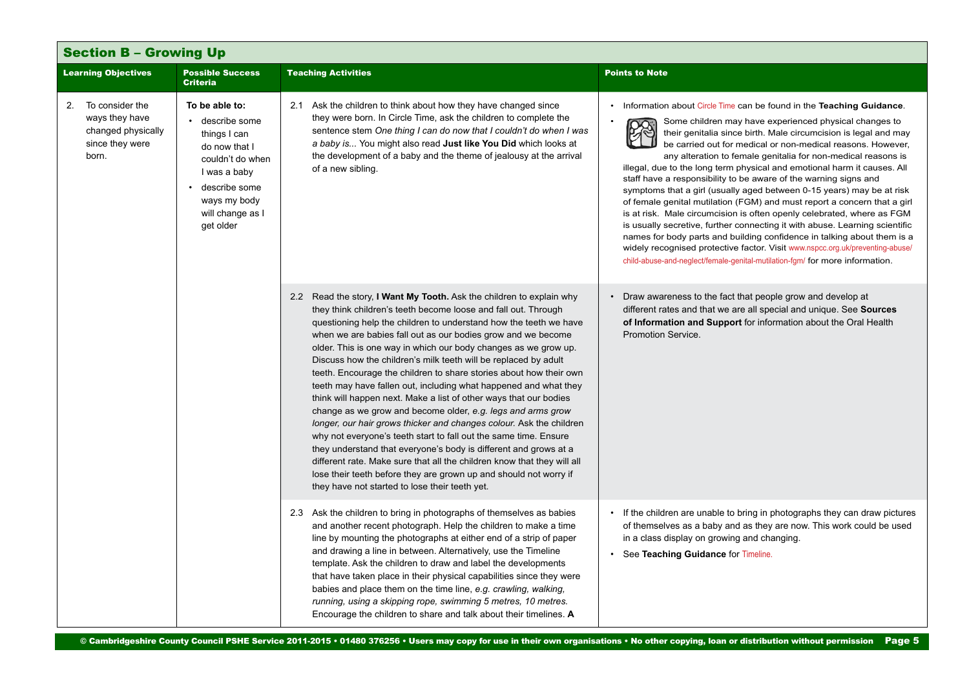<span id="page-4-0"></span>

| <b>Section B - Growing Up</b>                                                          |                                                                                                                                                                        |                                                                                                                                                                                                                                                                                                                                                                                                                                                                                                                                                                                                                                                                                                                                                                                                                                                                                                                                                                                                                                                                                                                  |                                                                                                                                                                                                                                                                                                                                                                                                                                                                                                                                                                                                                                                                                                                                                                                                                                                                                                                                                                                                                                             |
|----------------------------------------------------------------------------------------|------------------------------------------------------------------------------------------------------------------------------------------------------------------------|------------------------------------------------------------------------------------------------------------------------------------------------------------------------------------------------------------------------------------------------------------------------------------------------------------------------------------------------------------------------------------------------------------------------------------------------------------------------------------------------------------------------------------------------------------------------------------------------------------------------------------------------------------------------------------------------------------------------------------------------------------------------------------------------------------------------------------------------------------------------------------------------------------------------------------------------------------------------------------------------------------------------------------------------------------------------------------------------------------------|---------------------------------------------------------------------------------------------------------------------------------------------------------------------------------------------------------------------------------------------------------------------------------------------------------------------------------------------------------------------------------------------------------------------------------------------------------------------------------------------------------------------------------------------------------------------------------------------------------------------------------------------------------------------------------------------------------------------------------------------------------------------------------------------------------------------------------------------------------------------------------------------------------------------------------------------------------------------------------------------------------------------------------------------|
| <b>Learning Objectives</b>                                                             | <b>Possible Success</b><br><b>Criteria</b>                                                                                                                             | <b>Teaching Activities</b>                                                                                                                                                                                                                                                                                                                                                                                                                                                                                                                                                                                                                                                                                                                                                                                                                                                                                                                                                                                                                                                                                       | <b>Points to Note</b>                                                                                                                                                                                                                                                                                                                                                                                                                                                                                                                                                                                                                                                                                                                                                                                                                                                                                                                                                                                                                       |
| 2. To consider the<br>ways they have<br>changed physically<br>since they were<br>born. | To be able to:<br>describe some<br>things I can<br>do now that I<br>couldn't do when<br>I was a baby<br>describe some<br>ways my body<br>will change as I<br>get older | 2.1 Ask the children to think about how they have changed since<br>they were born. In Circle Time, ask the children to complete the<br>sentence stem One thing I can do now that I couldn't do when I was<br>a baby is You might also read Just like You Did which looks at<br>the development of a baby and the theme of jealousy at the arrival<br>of a new sibling.                                                                                                                                                                                                                                                                                                                                                                                                                                                                                                                                                                                                                                                                                                                                           | Information about Circle Time can be found in the Teaching Guidance.<br>Some children may have experienced physical changes to<br>their genitalia since birth. Male circumcision is legal and may<br>be carried out for medical or non-medical reasons. However,<br>any alteration to female genitalia for non-medical reasons is<br>illegal, due to the long term physical and emotional harm it causes. All<br>staff have a responsibility to be aware of the warning signs and<br>symptoms that a girl (usually aged between 0-15 years) may be at risk<br>of female genital mutilation (FGM) and must report a concern that a girl<br>is at risk. Male circumcision is often openly celebrated, where as FGM<br>is usually secretive, further connecting it with abuse. Learning scientific<br>names for body parts and building confidence in talking about them is a<br>widely recognised protective factor. Visit www.nspcc.org.uk/preventing-abuse/<br>child-abuse-and-neglect/female-genital-mutilation-fgm/ for more information. |
|                                                                                        |                                                                                                                                                                        | 2.2 Read the story, I Want My Tooth. Ask the children to explain why<br>they think children's teeth become loose and fall out. Through<br>questioning help the children to understand how the teeth we have<br>when we are babies fall out as our bodies grow and we become<br>older. This is one way in which our body changes as we grow up.<br>Discuss how the children's milk teeth will be replaced by adult<br>teeth. Encourage the children to share stories about how their own<br>teeth may have fallen out, including what happened and what they<br>think will happen next. Make a list of other ways that our bodies<br>change as we grow and become older, e.g. legs and arms grow<br>longer, our hair grows thicker and changes colour. Ask the children<br>why not everyone's teeth start to fall out the same time. Ensure<br>they understand that everyone's body is different and grows at a<br>different rate. Make sure that all the children know that they will all<br>lose their teeth before they are grown up and should not worry if<br>they have not started to lose their teeth yet. | Draw awareness to the fact that people grow and develop at<br>different rates and that we are all special and unique. See <b>Sources</b><br>of Information and Support for information about the Oral Health<br>Promotion Service.                                                                                                                                                                                                                                                                                                                                                                                                                                                                                                                                                                                                                                                                                                                                                                                                          |
|                                                                                        |                                                                                                                                                                        | 2.3 Ask the children to bring in photographs of themselves as babies<br>and another recent photograph. Help the children to make a time<br>line by mounting the photographs at either end of a strip of paper<br>and drawing a line in between. Alternatively, use the Timeline<br>template. Ask the children to draw and label the developments<br>that have taken place in their physical capabilities since they were<br>babies and place them on the time line, e.g. crawling, walking,<br>running, using a skipping rope, swimming 5 metres, 10 metres.<br>Encourage the children to share and talk about their timelines. A                                                                                                                                                                                                                                                                                                                                                                                                                                                                                | • If the children are unable to bring in photographs they can draw pictures<br>of themselves as a baby and as they are now. This work could be used<br>in a class display on growing and changing.<br>See Teaching Guidance for Timeline.                                                                                                                                                                                                                                                                                                                                                                                                                                                                                                                                                                                                                                                                                                                                                                                                   |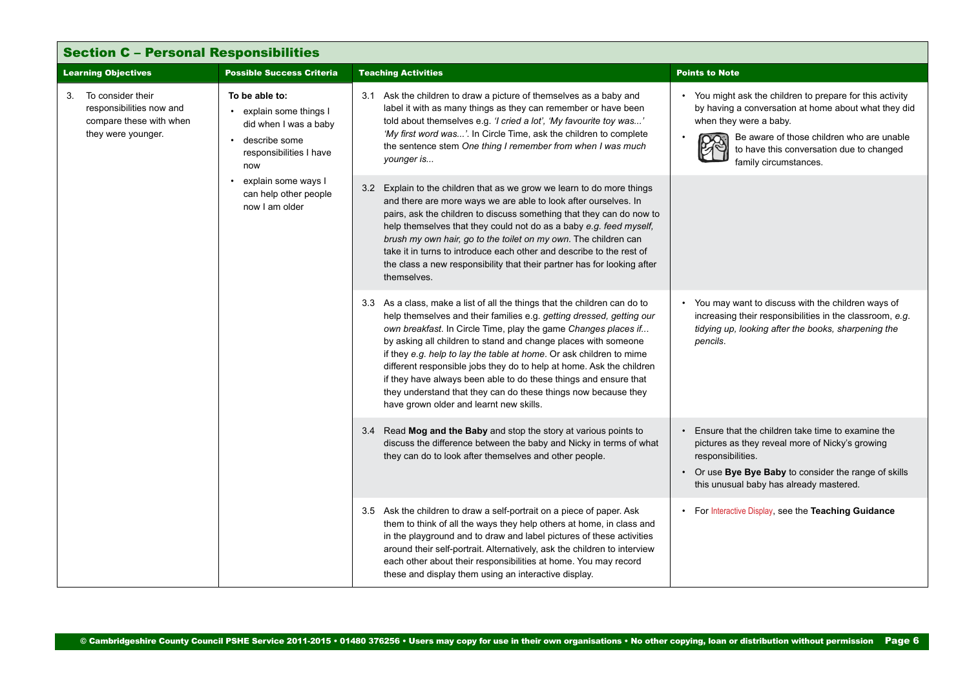<span id="page-5-0"></span>

| <b>Section C - Personal Responsibilities</b>                                                      |                                                                                                                         |                                                                                                                                                                                                                                                                                                                                                                                                                                                                                                                                                                                                                       |                                                                                                                                                                                                                                                               |
|---------------------------------------------------------------------------------------------------|-------------------------------------------------------------------------------------------------------------------------|-----------------------------------------------------------------------------------------------------------------------------------------------------------------------------------------------------------------------------------------------------------------------------------------------------------------------------------------------------------------------------------------------------------------------------------------------------------------------------------------------------------------------------------------------------------------------------------------------------------------------|---------------------------------------------------------------------------------------------------------------------------------------------------------------------------------------------------------------------------------------------------------------|
| <b>Learning Objectives</b>                                                                        | <b>Possible Success Criteria</b>                                                                                        | <b>Teaching Activities</b>                                                                                                                                                                                                                                                                                                                                                                                                                                                                                                                                                                                            | <b>Points to Note</b>                                                                                                                                                                                                                                         |
| 3. To consider their<br>responsibilities now and<br>compare these with when<br>they were younger. | To be able to:<br>• explain some things I<br>did when I was a baby<br>• describe some<br>responsibilities I have<br>now | 3.1 Ask the children to draw a picture of themselves as a baby and<br>label it with as many things as they can remember or have been<br>told about themselves e.g. 'I cried a lot', 'My favourite toy was'<br>'My first word was'. In Circle Time, ask the children to complete<br>the sentence stem One thing I remember from when I was much<br>younger is                                                                                                                                                                                                                                                          | • You might ask the children to prepare for this activity<br>by having a conversation at home about what they did<br>when they were a baby.<br>Be aware of those children who are unable<br>to have this conversation due to changed<br>family circumstances. |
|                                                                                                   | explain some ways I<br>can help other people<br>now I am older                                                          | 3.2 Explain to the children that as we grow we learn to do more things<br>and there are more ways we are able to look after ourselves. In<br>pairs, ask the children to discuss something that they can do now to<br>help themselves that they could not do as a baby e.g. feed myself,<br>brush my own hair, go to the toilet on my own. The children can<br>take it in turns to introduce each other and describe to the rest of<br>the class a new responsibility that their partner has for looking after<br>themselves.                                                                                          |                                                                                                                                                                                                                                                               |
|                                                                                                   |                                                                                                                         | 3.3 As a class, make a list of all the things that the children can do to<br>help themselves and their families e.g. getting dressed, getting our<br>own breakfast. In Circle Time, play the game Changes places if<br>by asking all children to stand and change places with someone<br>if they e.g. help to lay the table at home. Or ask children to mime<br>different responsible jobs they do to help at home. Ask the children<br>if they have always been able to do these things and ensure that<br>they understand that they can do these things now because they<br>have grown older and learnt new skills. | You may want to discuss with the children ways of<br>increasing their responsibilities in the classroom, e.g.<br>tidying up, looking after the books, sharpening the<br>pencils.                                                                              |
|                                                                                                   |                                                                                                                         | 3.4 Read Mog and the Baby and stop the story at various points to<br>discuss the difference between the baby and Nicky in terms of what<br>they can do to look after themselves and other people.                                                                                                                                                                                                                                                                                                                                                                                                                     | Ensure that the children take time to examine the<br>pictures as they reveal more of Nicky's growing<br>responsibilities.<br>Or use Bye Bye Baby to consider the range of skills<br>this unusual baby has already mastered.                                   |
|                                                                                                   |                                                                                                                         | 3.5 Ask the children to draw a self-portrait on a piece of paper. Ask<br>them to think of all the ways they help others at home, in class and<br>in the playground and to draw and label pictures of these activities<br>around their self-portrait. Alternatively, ask the children to interview<br>each other about their responsibilities at home. You may record<br>these and display them using an interactive display.                                                                                                                                                                                          | For Interactive Display, see the Teaching Guidance                                                                                                                                                                                                            |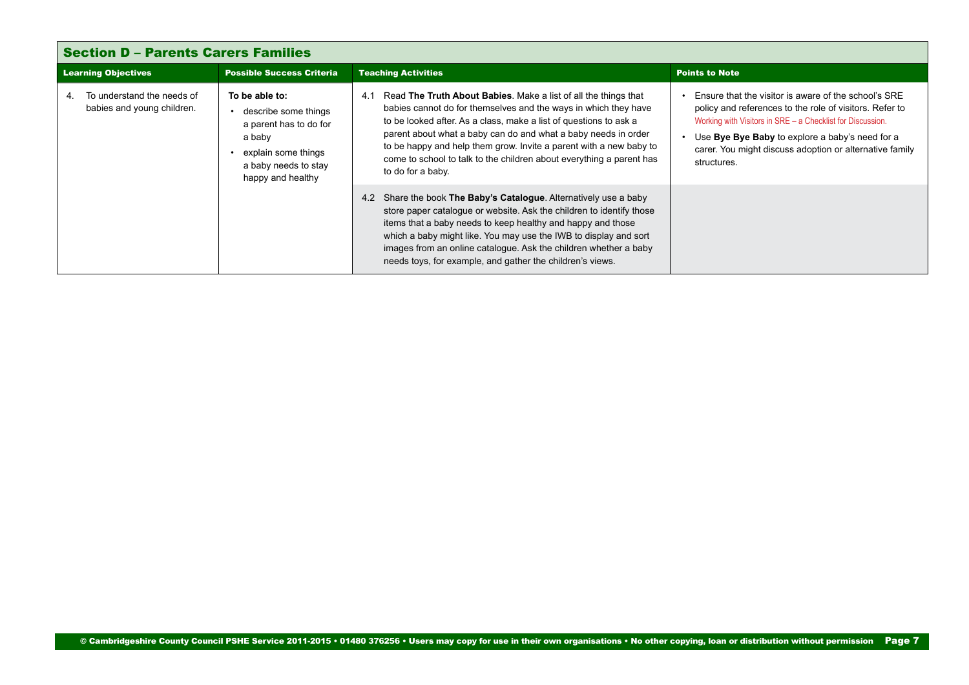<span id="page-6-0"></span>

| <b>Section D - Parents Carers Families</b>                     |                                                                                                                                                             |                                                                                                                                                                                                                                                                                                                                                                                                                                                     |                                                                                                                                                                                                                                                                                                            |
|----------------------------------------------------------------|-------------------------------------------------------------------------------------------------------------------------------------------------------------|-----------------------------------------------------------------------------------------------------------------------------------------------------------------------------------------------------------------------------------------------------------------------------------------------------------------------------------------------------------------------------------------------------------------------------------------------------|------------------------------------------------------------------------------------------------------------------------------------------------------------------------------------------------------------------------------------------------------------------------------------------------------------|
| <b>Learning Objectives</b>                                     | <b>Possible Success Criteria</b>                                                                                                                            | <b>Teaching Activities</b>                                                                                                                                                                                                                                                                                                                                                                                                                          | <b>Points to Note</b>                                                                                                                                                                                                                                                                                      |
| To understand the needs of<br>4.<br>babies and young children. | To be able to:<br>describe some things<br>$\bullet$<br>a parent has to do for<br>a baby<br>explain some things<br>a baby needs to stay<br>happy and healthy | Read The Truth About Babies. Make a list of all the things that<br>4.1<br>babies cannot do for themselves and the ways in which they have<br>to be looked after. As a class, make a list of questions to ask a<br>parent about what a baby can do and what a baby needs in order<br>to be happy and help them grow. Invite a parent with a new baby to<br>come to school to talk to the children about everything a parent has<br>to do for a baby. | Ensure that the visitor is aware of the school's SRE<br>policy and references to the role of visitors. Refer to<br>Working with Visitors in SRE - a Checklist for Discussion.<br>Use Bye Bye Baby to explore a baby's need for a<br>carer. You might discuss adoption or alternative family<br>structures. |
|                                                                |                                                                                                                                                             | Share the book The Baby's Catalogue. Alternatively use a baby<br>4.2<br>store paper catalogue or website. Ask the children to identify those<br>items that a baby needs to keep healthy and happy and those<br>which a baby might like. You may use the IWB to display and sort<br>images from an online catalogue. Ask the children whether a baby<br>needs toys, for example, and gather the children's views.                                    |                                                                                                                                                                                                                                                                                                            |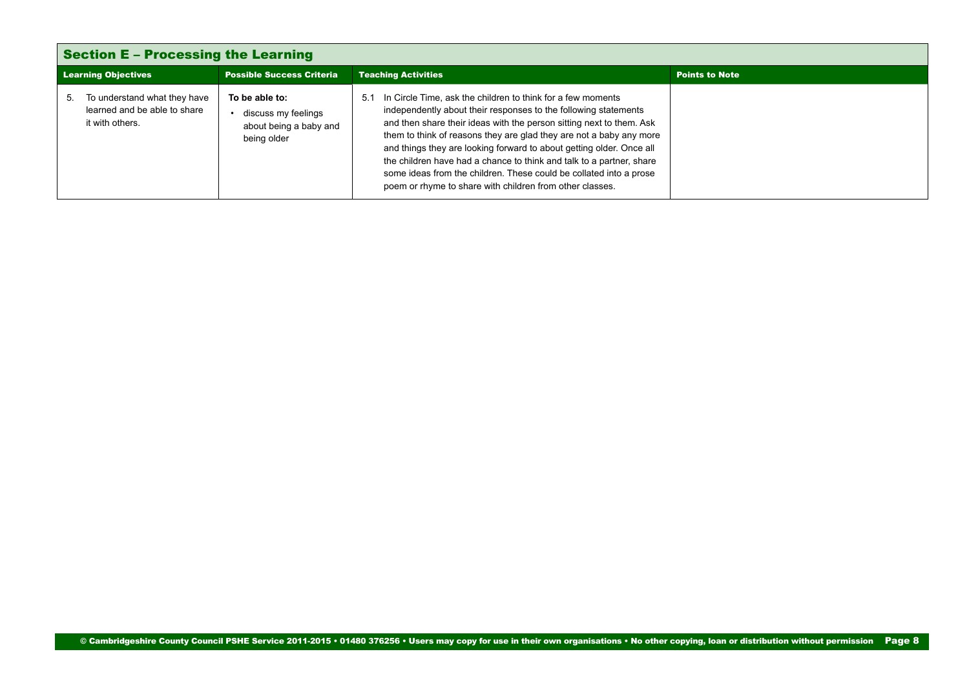<span id="page-7-0"></span>

| <b>Section E</b> – Processing the Learning                                            |                                                                                |                                                                                                                                                                                                                                                                                                                                                                                                                                                                                                                                                                        |                       |
|---------------------------------------------------------------------------------------|--------------------------------------------------------------------------------|------------------------------------------------------------------------------------------------------------------------------------------------------------------------------------------------------------------------------------------------------------------------------------------------------------------------------------------------------------------------------------------------------------------------------------------------------------------------------------------------------------------------------------------------------------------------|-----------------------|
| <b>Learning Objectives</b>                                                            | <b>Possible Success Criteria</b>                                               | <b>Teaching Activities</b>                                                                                                                                                                                                                                                                                                                                                                                                                                                                                                                                             | <b>Points to Note</b> |
| To understand what they have<br>5.<br>learned and be able to share<br>it with others. | To be able to:<br>discuss my feelings<br>about being a baby and<br>being older | In Circle Time, ask the children to think for a few moments<br>5.1<br>independently about their responses to the following statements<br>and then share their ideas with the person sitting next to them. Ask<br>them to think of reasons they are glad they are not a baby any more<br>and things they are looking forward to about getting older. Once all<br>the children have had a chance to think and talk to a partner, share<br>some ideas from the children. These could be collated into a prose<br>poem or rhyme to share with children from other classes. |                       |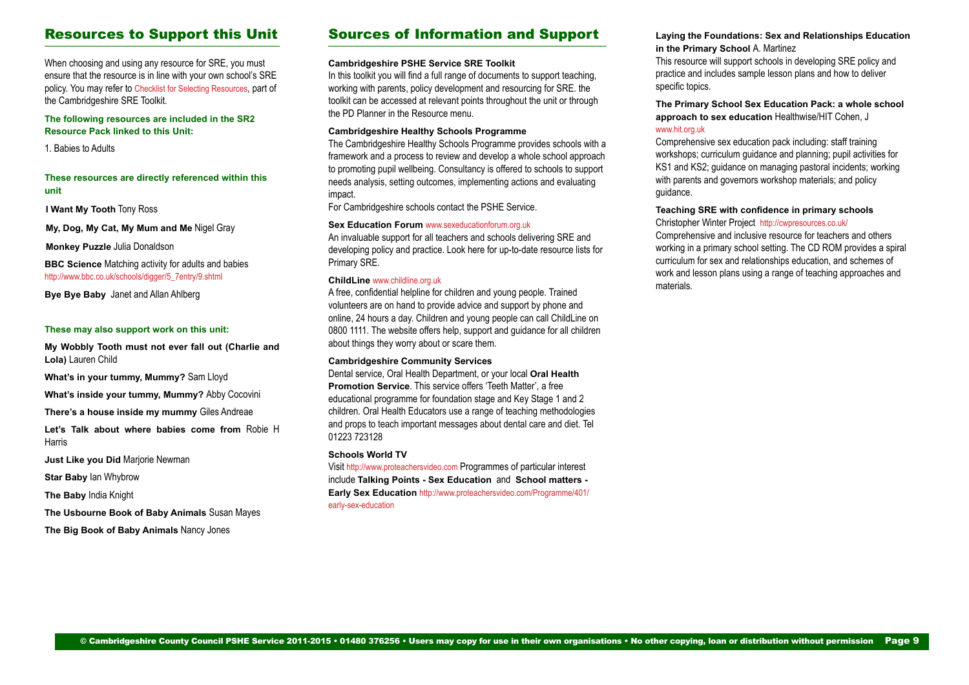## Resources to Support this Unit

When choosing and using any resource for SRE, you must ensure that the resource is in line with your own school's SRE policy. You may refer to [Checklist for Selecting Resources,](https://drive.google.com/open%3Fid%3D0B8aya-vDwpehc0ZOazk5UTd1Sms) part of the Cambridgeshire SRE Toolkit.

#### **The following resources are included in the SR2 Resource Pack linked to this Unit:**

1. Babies to Adults

**These resources are directly referenced within this unit**

**I Want My Tooth** Tony Ross

**My, Dog, My Cat, My Mum and Me** Nigel Gray

**Monkey Puzzle** Julia Donaldson

**BBC Science** Matching activity for adults and babies [http://www.bbc.co.uk/schools/digger/5\\_7entry/9.shtml](http://www.bbc.co.uk/schools/digger/5_7entry/9.shtml)

**Bye Bye Baby** Janet and Allan Ahlberg

#### **These may also support work on this unit:**

**My Wobbly Tooth must not ever fall out (Charlie and Lola)** Lauren Child

**What's in your tummy, Mummy?** Sam Lloyd

**What's inside your tummy, Mummy?** Abby Cocovini

**There's a house inside my mummy** Giles Andreae

**Let's Talk about where babies come from** Robie H **Harris** 

**Just Like you Did** Marjorie Newman

**Star Baby** Ian Whybrow

**The Baby** India Knight

**The Usbourne Book of Baby Animals** Susan Mayes

**The Big Book of Baby Animals** Nancy Jones

## Sources of Information and Support

#### **Cambridgeshire PSHE Service SRE Toolkit**

In this toolkit you will find a full range of documents to support teaching, working with parents, policy development and resourcing for SRE. the toolkit can be accessed at relevant points throughout the unit or through the PD Planner in the Resource menu.

#### **Cambridgeshire Healthy Schools Programme**

The Cambridgeshire Healthy Schools Programme provides schools with a framework and a process to review and develop a whole school approach to promoting pupil wellbeing. Consultancy is offered to schools to support needs analysis, setting outcomes, implementing actions and evaluating impact.

For Cambridgeshire schools contact the PSHE Service.

#### **Sex Education Forum [www.sexeducationforum.org.uk](http://www.sexeducationforum.org.uk)**

An invaluable support for all teachers and schools delivering SRE and developing policy and practice. Look here for up-to-date resource lists for Primary SRE.

#### **ChildLine** <www.childline.org.uk>

A free, confidential helpline for children and young people. Trained volunteers are on hand to provide advice and support by phone and online, 24 hours a day. Children and young people can call ChildLine on 0800 1111. The website offers help, support and guidance for all children about things they worry about or scare them.

#### **Cambridgeshire Community Services**

Dental service, Oral Health Department, or your local **Oral Health Promotion Service.** This service offers 'Teeth Matter', a free educational programme for foundation stage and Key Stage 1 and 2 children. Oral Health Educators use a range of teaching methodologies and props to teach important messages about dental care and diet. Tel 01223 723128

#### **Schools World TV**

Visit<http://www.proteachersvideo.com>Programmes of particular interest include **Talking Points - Sex Education** and **School matters - Early Sex Education** [http://www.proteachersvideo.com/Programme/401/](http://www.proteachersvideo.com/Programme/401/early-sex-education ) [early-sex-education](http://www.proteachersvideo.com/Programme/401/early-sex-education )

#### **Laying the Foundations: Sex and Relationships Education in the Primary School** A. Martinez

This resource will support schools in developing SRE policy and practice and includes sample lesson plans and how to deliver specific topics.

**The Primary School Sex Education Pack: a whole school approach to sex education** Healthwise/HIT Cohen, J <www.hit.org.uk>

Comprehensive sex education pack including: staff training workshops; curriculum guidance and planning; pupil activities for KS1 and KS2; guidance on managing pastoral incidents; working with parents and governors workshop materials; and policy guidance.

### **Teaching SRE with confidence in primary schools**

Christopher Winter Project <http://cwpresources.co.uk/>

Comprehensive and inclusive resource for teachers and others working in a primary school setting. The CD ROM provides a spiral curriculum for sex and relationships education, and schemes of work and lesson plans using a range of teaching approaches and materials.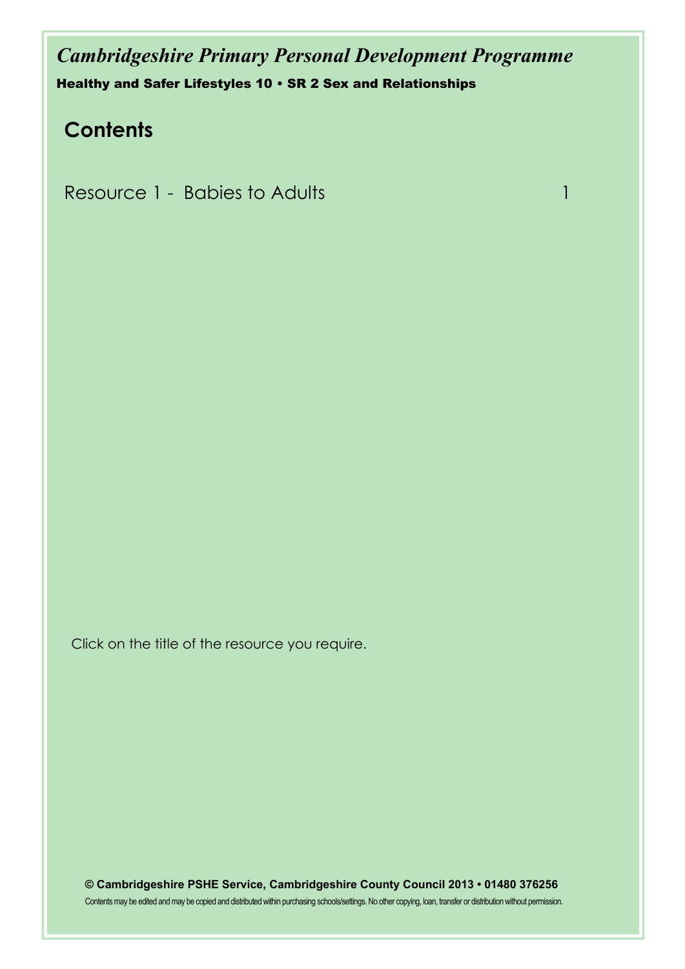*Cambridgeshire Primary Personal Development Programme* Healthy and Safer Lifestyles 10 • SR 2 Sex and Relationships

## **Contents**

[Resource 1 - Babies to Adults 1](#page-10-0)

Click on the title of the resource you require.

**© Cambridgeshire PSHE Service, Cambridgeshire County Council 2013 • 01480 376256** Contents may be edited and may be copied and distributed within purchasing schools/settings. No other copying, loan, transfer or distribution without permission.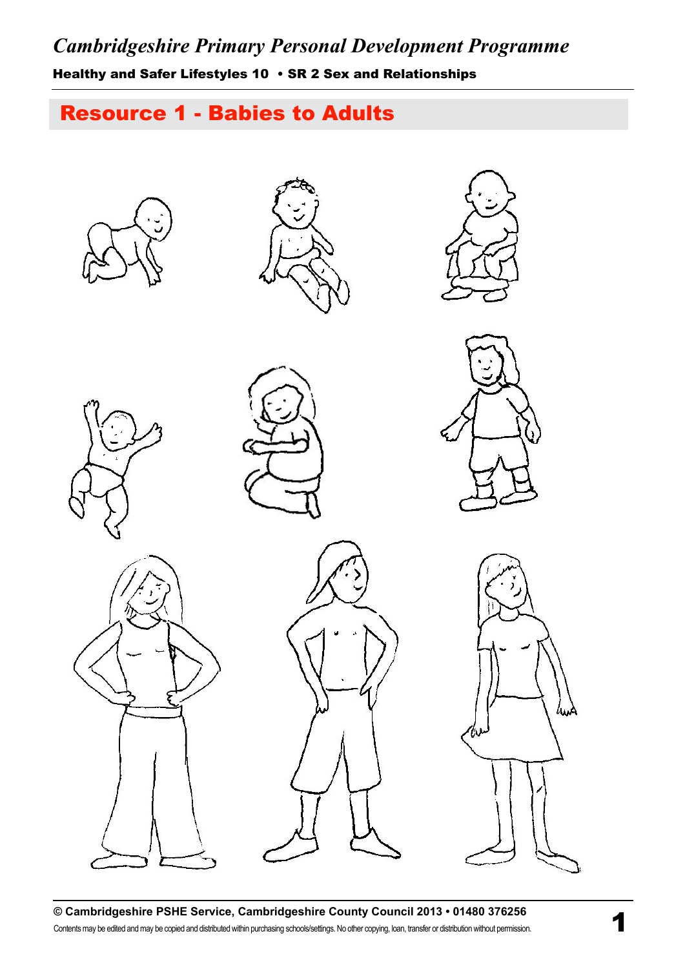## <span id="page-10-0"></span>*Cambridgeshire Primary Personal Development Programme*

Healthy and Safer Lifestyles 10 • SR 2 Sex and Relationships

[Resource 1 - Babies to Adults](#page-3-0)

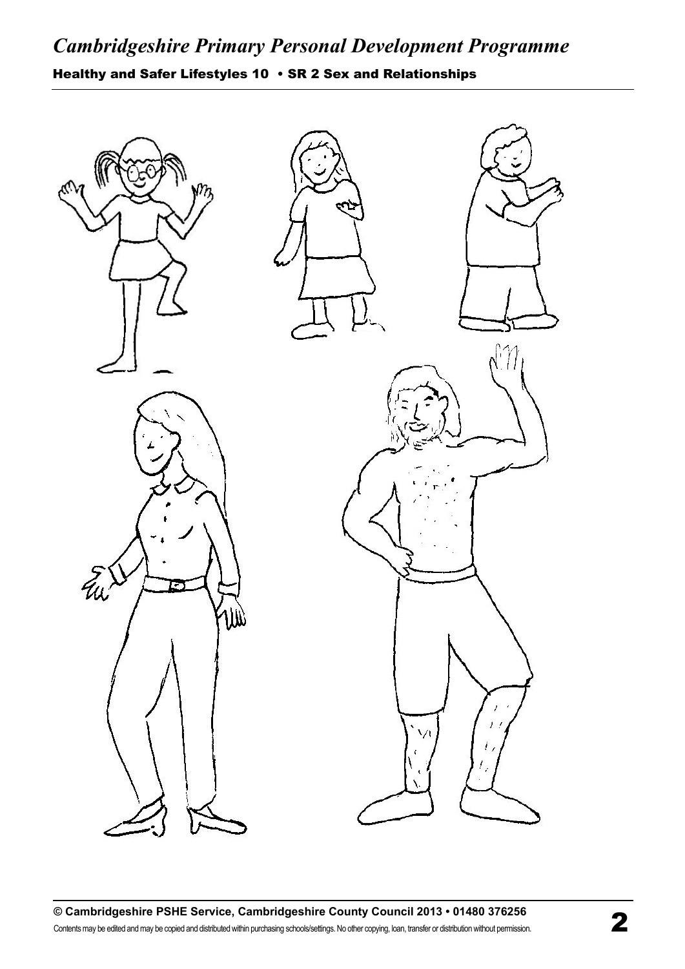## *Cambridgeshire Primary Personal Development Programme* Healthy and Safer Lifestyles 10 • SR 2 Sex and Relationships